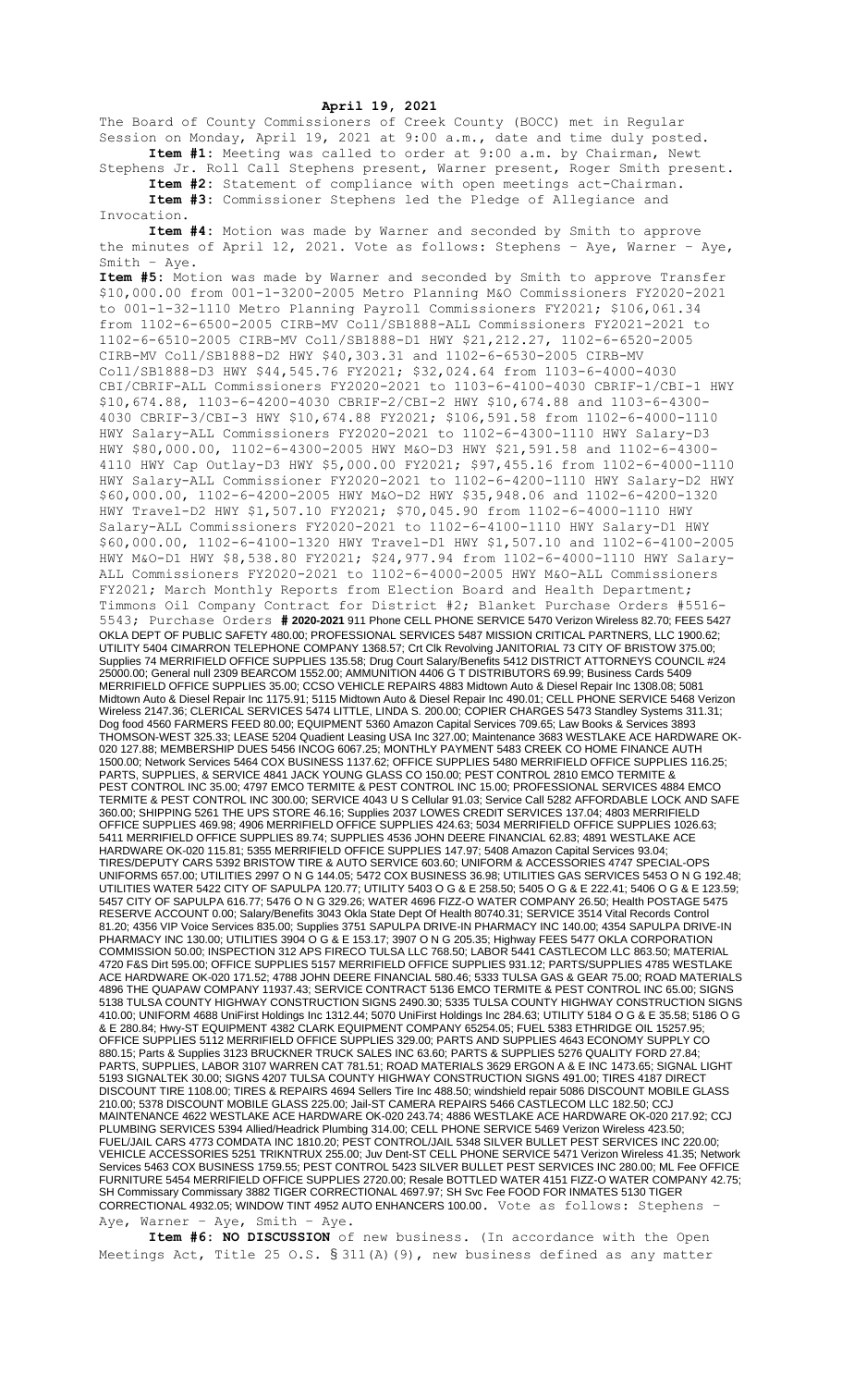## **April 19, 2021**

The Board of County Commissioners of Creek County (BOCC) met in Regular Session on Monday, April 19, 2021 at 9:00 a.m., date and time duly posted. **Item #1:** Meeting was called to order at 9:00 a.m. by Chairman, Newt

Stephens Jr. Roll Call Stephens present, Warner present, Roger Smith present. **Item #2:** Statement of compliance with open meetings act-Chairman. **Item #3:** Commissioner Stephens led the Pledge of Allegiance and

Invocation.

**Item #4:** Motion was made by Warner and seconded by Smith to approve the minutes of April 12, 2021. Vote as follows: Stephens – Aye, Warner – Aye, Smith – Aye.

**Item #5:** Motion was made by Warner and seconded by Smith to approve Transfer \$10,000.00 from 001-1-3200-2005 Metro Planning M&O Commissioners FY2020-2021 to 001-1-32-1110 Metro Planning Payroll Commissioners FY2021; \$106,061.34 from 1102-6-6500-2005 CIRB-MV Coll/SB1888-ALL Commissioners FY2021-2021 to 1102-6-6510-2005 CIRB-MV Coll/SB1888-D1 HWY \$21,212.27, 1102-6-6520-2005 CIRB-MV Coll/SB1888-D2 HWY \$40,303.31 and 1102-6-6530-2005 CIRB-MV Coll/SB1888-D3 HWY \$44,545.76 FY2021; \$32,024.64 from 1103-6-4000-4030 CBI/CBRIF-ALL Commissioners FY2020-2021 to 1103-6-4100-4030 CBRIF-1/CBI-1 HWY \$10,674.88, 1103-6-4200-4030 CBRIF-2/CBI-2 HWY \$10,674.88 and 1103-6-4300- 4030 CBRIF-3/CBI-3 HWY \$10,674.88 FY2021; \$106,591.58 from 1102-6-4000-1110 HWY Salary-ALL Commissioners FY2020-2021 to 1102-6-4300-1110 HWY Salary-D3 HWY \$80,000.00, 1102-6-4300-2005 HWY M&O-D3 HWY \$21,591.58 and 1102-6-4300- 4110 HWY Cap Outlay-D3 HWY \$5,000.00 FY2021; \$97,455.16 from 1102-6-4000-1110 HWY Salary-ALL Commissioner FY2020-2021 to 1102-6-4200-1110 HWY Salary-D2 HWY \$60,000.00, 1102-6-4200-2005 HWY M&O-D2 HWY \$35,948.06 and 1102-6-4200-1320 HWY Travel-D2 HWY \$1,507.10 FY2021; \$70,045.90 from 1102-6-4000-1110 HWY Salary-ALL Commissioners FY2020-2021 to 1102-6-4100-1110 HWY Salary-D1 HWY \$60,000.00, 1102-6-4100-1320 HWY Travel-D1 HWY \$1,507.10 and 1102-6-4100-2005 HWY M&O-D1 HWY \$8,538.80 FY2021; \$24,977.94 from 1102-6-4000-1110 HWY Salary-ALL Commissioners FY2020-2021 to 1102-6-4000-2005 HWY M&O-ALL Commissioners FY2021; March Monthly Reports from Election Board and Health Department; Timmons Oil Company Contract for District #2; Blanket Purchase Orders #5516- 5543; Purchase Orders **# 2020-2021** 911 Phone CELL PHONE SERVICE 5470 Verizon Wireless 82.70; FEES 5427 OKLA DEPT OF PUBLIC SAFETY 480.00; PROFESSIONAL SERVICES 5487 MISSION CRITICAL PARTNERS, LLC 1900.62; UTILITY 5404 CIMARRON TELEPHONE COMPANY 1368.57; Crt Clk Revolving JANITORIAL 73 CITY OF BRISTOW 375.00; Supplies 74 MERRIFIELD OFFICE SUPPLIES 135.58; Drug Court Salary/Benefits 5412 DISTRICT ATTORNEYS COUNCIL #24 25000.00; General null 2309 BEARCOM 1552.00; AMMUNITION 4406 G T DISTRIBUTORS 69.99; Business Cards 5409 MERRIFIELD OFFICE SUPPLIES 35.00; CCSO VEHICLE REPAIRS 4883 Midtown Auto & Diesel Repair Inc 1308.08; 5081 Midtown Auto & Diesel Repair Inc 1175.91; 5115 Midtown Auto & Diesel Repair Inc 490.01; CELL PHONE SERVICE 5468 Verizon Wireless 2147.36; CLERICAL SERVICES 5474 LITTLE, LINDA S. 200.00; COPIER CHARGES 5473 Standley Systems 311.31; Dog food 4560 FARMERS FEED 80.00; EQUIPMENT 5360 Amazon Capital Services 709.65; Law Books & Services 3893 THOMSON-WEST 325.33; LEASE 5204 Quadient Leasing USA Inc 327.00; Maintenance 3683 WESTLAKE ACE HARDWARE OK-020 127.88; MEMBERSHIP DUES 5456 INCOG 6067.25; MONTHLY PAYMENT 5483 CREEK CO HOME FINANCE AUTH 1500.00; Network Services 5464 COX BUSINESS 1137.62; OFFICE SUPPLIES 5480 MERRIFIELD OFFICE SUPPLIES 116.25; PARTS, SUPPLIES, & SERVICE 4841 JACK YOUNG GLASS CO 150.00; PEST CONTROL 2810 EMCO TERMITE & PEST CONTROL INC 35.00; 4797 EMCO TERMITE & PEST CONTROL INC 15.00; PROFESSIONAL SERVICES 4884 EMCO TERMITE & PEST CONTROL INC 300.00; SERVICE 4043 U S Cellular 91.03; Service Call 5282 AFFORDABLE LOCK AND SAFE 360.00; SHIPPING 5261 THE UPS STORE 46.16; Supplies 2037 LOWES CREDIT SERVICES 137.04; 4803 MERRIFIELD OFFICE SUPPLIES 469.98; 4906 MERRIFIELD OFFICE SUPPLIES 424.63; 5034 MERRIFIELD OFFICE SUPPLIES 1026.63; 5411 MERRIFIELD OFFICE SUPPLIES 89.74; SUPPLIES 4536 JOHN DEERE FINANCIAL 62.83; 4891 WESTLAKE ACE HARDWARE OK-020 115.81; 5355 MERRIFIELD OFFICE SUPPLIES 147.97; 5408 Amazon Capital Services 93.04; TIRES/DEPUTY CARS 5392 BRISTOW TIRE & AUTO SERVICE 603.60; UNIFORM & ACCESSORIES 4747 SPECIAL-OPS UNIFORMS 657.00; UTILITIES 2997 O N G 144.05; 5472 COX BUSINESS 36.98; UTILITIES GAS SERVICES 5453 O N G 192.48; UTILITIES WATER 5422 CITY OF SAPULPA 120.77; UTILITY 5403 O G & E 258.50; 5405 O G & E 222.41; 5406 O G & E 123.59; 5457 CITY OF SAPULPA 616.77; 5476 O N G 329.26; WATER 4696 FIZZ-O WATER COMPANY 26.50; Health POSTAGE 5475 RESERVE ACCOUNT 0.00; Salary/Benefits 3043 Okla State Dept Of Health 80740.31; SERVICE 3514 Vital Records Control 81.20; 4356 VIP Voice Services 835.00; Supplies 3751 SAPULPA DRIVE-IN PHARMACY INC 140.00; 4354 SAPULPA DRIVE-IN PHARMACY INC 130.00; UTILITIES 3904 O G & E 153.17; 3907 O N G 205.35; Highway FEES 5477 OKLA CORPORATION COMMISSION 50.00; INSPECTION 312 APS FIRECO TULSA LLC 768.50; LABOR 5441 CASTLECOM LLC 863.50; MATERIAL 4720 F&S Dirt 595.00; OFFICE SUPPLIES 5157 MERRIFIELD OFFICE SUPPLIES 931.12; PARTS/SUPPLIES 4785 WESTLAKE ACE HARDWARE OK-020 171.52; 4788 JOHN DEERE FINANCIAL 580.46; 5333 TULSA GAS & GEAR 75.00; ROAD MATERIALS 4896 THE QUAPAW COMPANY 11937.43; SERVICE CONTRACT 5136 EMCO TERMITE & PEST CONTROL INC 65.00; SIGNS 5138 TULSA COUNTY HIGHWAY CONSTRUCTION SIGNS 2490.30; 5335 TULSA COUNTY HIGHWAY CONSTRUCTION SIGNS 410.00; UNIFORM 4688 UniFirst Holdings Inc 1312.44; 5070 UniFirst Holdings Inc 284.63; UTILITY 5184 O G & E 35.58; 5186 O G & E 280.84; Hwy-ST EQUIPMENT 4382 CLARK EQUIPMENT COMPANY 65254.05; FUEL 5383 ETHRIDGE OIL 15257.95; OFFICE SUPPLIES 5112 MERRIFIELD OFFICE SUPPLIES 329.00; PARTS AND SUPPLIES 4643 ECONOMY SUPPLY CO 880.15; Parts & Supplies 3123 BRUCKNER TRUCK SALES INC 63.60; PARTS & SUPPLIES 5276 QUALITY FORD 27.84; PARTS, SUPPLIES, LABOR 3107 WARREN CAT 781.51; ROAD MATERIALS 3629 ERGON A & E INC 1473.65; SIGNAL LIGHT 5193 SIGNALTEK 30.00; SIGNS 4207 TULSA COUNTY HIGHWAY CONSTRUCTION SIGNS 491.00; TIRES 4187 DIRECT DISCOUNT TIRE 1108.00; TIRES & REPAIRS 4694 Sellers Tire Inc 488.50; windshield repair 5086 DISCOUNT MOBILE GLASS 210.00; 5378 DISCOUNT MOBILE GLASS 225.00; Jail-ST CAMERA REPAIRS 5466 CASTLECOM LLC 182.50; CCJ MAINTENANCE 4622 WESTLAKE ACE HARDWARE OK-020 243.74; 4886 WESTLAKE ACE HARDWARE OK-020 217.92; CCJ PLUMBING SERVICES 5394 Allied/Headrick Plumbing 314.00; CELL PHONE SERVICE 5469 Verizon Wireless 423.50; FUEL/JAIL CARS 4773 COMDATA INC 1810.20; PEST CONTROL/JAIL 5348 SILVER BULLET PEST SERVICES INC 220.00; VEHICLE ACCESSORIES 5251 TRIKNTRUX 255.00; Juv Dent-ST CELL PHONE SERVICE 5471 Verizon Wireless 41.35; Network Services 5463 COX BUSINESS 1759.55; PEST CONTROL 5423 SILVER BULLET PEST SERVICES INC 280.00; ML Fee OFFICE FURNITURE 5454 MERRIFIELD OFFICE SUPPLIES 2720.00; Resale BOTTLED WATER 4151 FIZZ-O WATER COMPANY 42.75; SH Commissary Commissary 3882 TIGER CORRECTIONAL 4697.97; SH Svc Fee FOOD FOR INMATES 5130 TIGER CORRECTIONAL 4932.05; WINDOW TINT 4952 AUTO ENHANCERS 100.00. Vote as follows: Stephens – Aye, Warner – Aye, Smith – Aye.

**Item #6: NO DISCUSSION** of new business. (In accordance with the Open Meetings Act, Title 25 O.S. § 311(A)(9), new business defined as any matter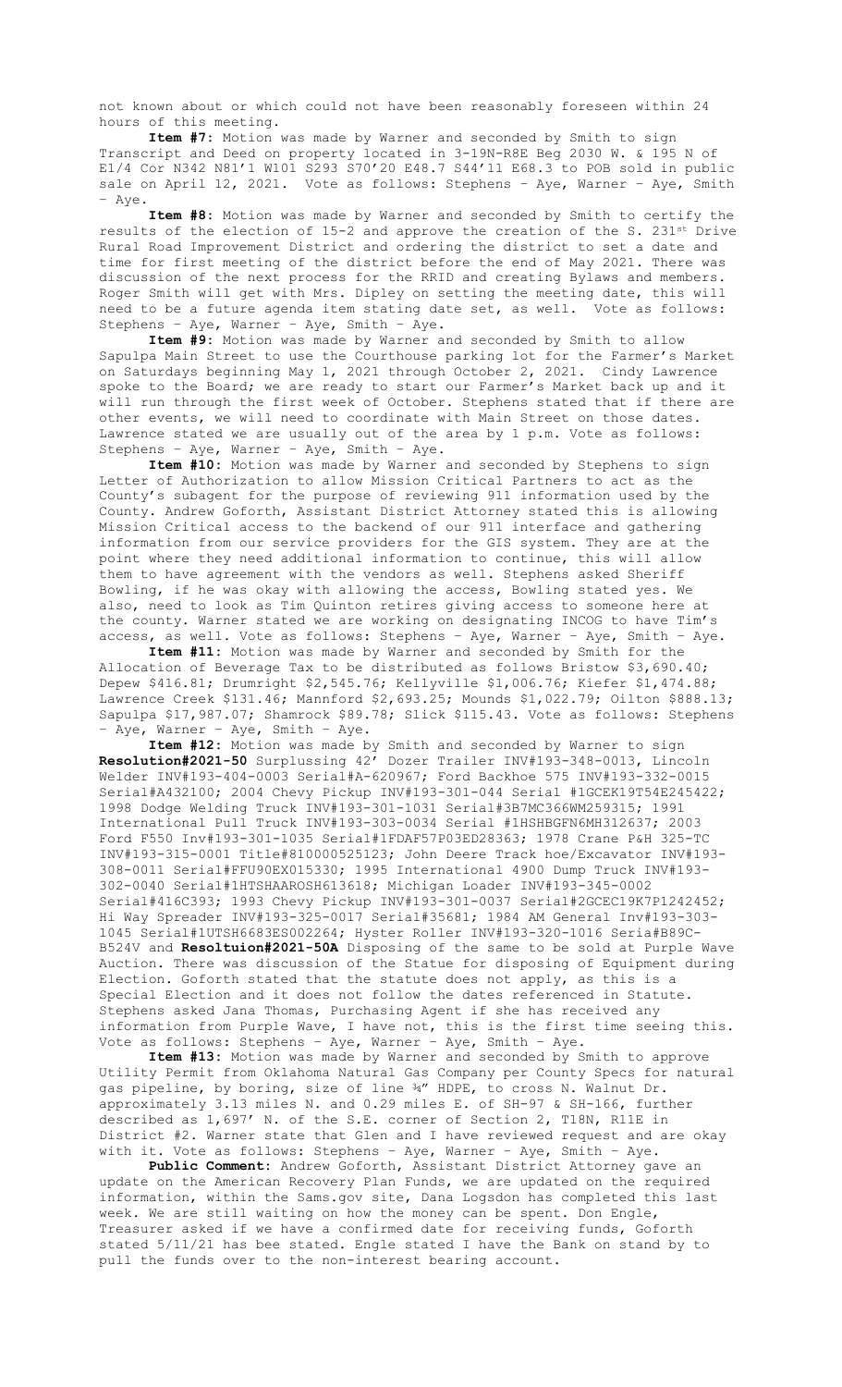not known about or which could not have been reasonably foreseen within 24 hours of this meeting.

**Item #7:** Motion was made by Warner and seconded by Smith to sign Transcript and Deed on property located in 3-19N-R8E Beg 2030 W. & 195 N of E1/4 Cor N342 N81'1 W101 S293 S70'20 E48.7 S44'11 E68.3 to POB sold in public sale on April 12, 2021. Vote as follows: Stephens - Aye, Warner - Aye, Smith – Aye.

**Item #8:** Motion was made by Warner and seconded by Smith to certify the results of the election of 15-2 and approve the creation of the S. 231st Drive Rural Road Improvement District and ordering the district to set a date and time for first meeting of the district before the end of May 2021. There was discussion of the next process for the RRID and creating Bylaws and members. Roger Smith will get with Mrs. Dipley on setting the meeting date, this will need to be a future agenda item stating date set, as well. Vote as follows: Stephens – Aye, Warner – Aye, Smith – Aye.

**Item #9:** Motion was made by Warner and seconded by Smith to allow Sapulpa Main Street to use the Courthouse parking lot for the Farmer's Market on Saturdays beginning May 1, 2021 through October 2, 2021. Cindy Lawrence spoke to the Board; we are ready to start our Farmer's Market back up and it will run through the first week of October. Stephens stated that if there are other events, we will need to coordinate with Main Street on those dates. Lawrence stated we are usually out of the area by 1 p.m. Vote as follows: Stephens – Aye, Warner – Aye, Smith – Aye.

**Item #10:** Motion was made by Warner and seconded by Stephens to sign Letter of Authorization to allow Mission Critical Partners to act as the County's subagent for the purpose of reviewing 911 information used by the County. Andrew Goforth, Assistant District Attorney stated this is allowing Mission Critical access to the backend of our 911 interface and gathering information from our service providers for the GIS system. They are at the point where they need additional information to continue, this will allow them to have agreement with the vendors as well. Stephens asked Sheriff Bowling, if he was okay with allowing the access, Bowling stated yes. We also, need to look as Tim Quinton retires giving access to someone here at the county. Warner stated we are working on designating INCOG to have Tim's access, as well. Vote as follows: Stephens – Aye, Warner – Aye, Smith – Aye.

**Item #11:** Motion was made by Warner and seconded by Smith for the Allocation of Beverage Tax to be distributed as follows Bristow \$3,690.40; Depew \$416.81; Drumright \$2,545.76; Kellyville \$1,006.76; Kiefer \$1,474.88; Lawrence Creek \$131.46; Mannford \$2,693.25; Mounds \$1,022.79; Oilton \$888.13; Sapulpa \$17,987.07; Shamrock \$89.78; Slick \$115.43. Vote as follows: Stephens – Aye, Warner – Aye, Smith – Aye.

**Item #12:** Motion was made by Smith and seconded by Warner to sign **Resolution#2021-50** Surplussing 42' Dozer Trailer INV#193-348-0013, Lincoln Welder INV#193-404-0003 Serial#A-620967; Ford Backhoe 575 INV#193-332-0015 Serial#A432100; 2004 Chevy Pickup INV#193-301-044 Serial #1GCEK19T54E245422; 1998 Dodge Welding Truck INV#193-301-1031 Serial#3B7MC366WM259315; 1991 International Pull Truck INV#193-303-0034 Serial #1HSHBGFN6MH312637; 2003 Ford F550 Inv#193-301-1035 Serial#1FDAF57P03ED28363; 1978 Crane P&H 325-TC INV#193-315-0001 Title#810000525123; John Deere Track hoe/Excavator INV#193- 308-0011 Serial#FFU90EX015330; 1995 International 4900 Dump Truck INV#193- 302-0040 Serial#1HTSHAAROSH613618; Michigan Loader INV#193-345-0002 Serial#416C393; 1993 Chevy Pickup INV#193-301-0037 Serial#2GCEC19K7P1242452; Hi Way Spreader INV#193-325-0017 Serial#35681; 1984 AM General Inv#193-303- 1045 Serial#1UTSH6683ES002264; Hyster Roller INV#193-320-1016 Seria#B89C-B524V and **Resoltuion#2021-50A** Disposing of the same to be sold at Purple Wave Auction. There was discussion of the Statue for disposing of Equipment during Election. Goforth stated that the statute does not apply, as this is a Special Election and it does not follow the dates referenced in Statute. Stephens asked Jana Thomas, Purchasing Agent if she has received any information from Purple Wave, I have not, this is the first time seeing this. Vote as follows: Stephens – Aye, Warner – Aye, Smith – Aye.

**Item #13:** Motion was made by Warner and seconded by Smith to approve Utility Permit from Oklahoma Natural Gas Company per County Specs for natural gas pipeline, by boring, size of line ¾" HDPE, to cross N. Walnut Dr. approximately 3.13 miles N. and 0.29 miles E. of SH-97 & SH-166, further described as 1,697' N. of the S.E. corner of Section 2, T18N, R11E in District #2. Warner state that Glen and I have reviewed request and are okay with it. Vote as follows: Stephens – Aye, Warner – Aye, Smith – Aye.

**Public Comment:** Andrew Goforth, Assistant District Attorney gave an update on the American Recovery Plan Funds, we are updated on the required information, within the Sams.gov site, Dana Logsdon has completed this last week. We are still waiting on how the money can be spent. Don Engle, Treasurer asked if we have a confirmed date for receiving funds, Goforth stated 5/11/21 has bee stated. Engle stated I have the Bank on stand by to pull the funds over to the non-interest bearing account.